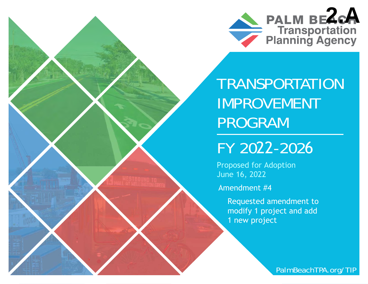

TRANSPORTATION IMPROVEMENT PROGRAM

FY 2022-2026

 Proposed for Adoption June 16, 202 2

Amendment #4

Requested amendment to modify 1 project and add 1 new project

[PalmBeachTPA.org/TIP](www.PalmBeachTPA.org/TIP)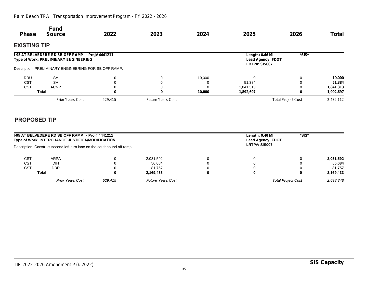### *Palm Beach TPA Transportation Improvement Program - FY 2022 - 2026*

| <b>Phase</b>        | <b>Fund</b><br><b>Source</b>                                                                                                                       | 2022    | 2023                     | 2024   | 2025                                                         | 2026                      | <b>Total</b> |
|---------------------|----------------------------------------------------------------------------------------------------------------------------------------------------|---------|--------------------------|--------|--------------------------------------------------------------|---------------------------|--------------|
| <b>EXISTING TIP</b> |                                                                                                                                                    |         |                          |        |                                                              |                           |              |
|                     | I-95 AT BELVEDERE RD SB OFF RAMP - Proj# 4441211<br>Type of Work: PRELIMINARY ENGINEERING<br>Description: PRELIMINARY ENGINEERING FOR SB OFF RAMP. |         |                          |        | Length: 0.46 MI<br><b>Lead Agency: FDOT</b><br>LRTP#: SIS007 | *SIS*                     |              |
|                     |                                                                                                                                                    |         |                          |        |                                                              |                           |              |
| <b>RRU</b>          | <b>SA</b>                                                                                                                                          | 0       | $\Omega$                 | 10,000 | 0                                                            |                           | 10,000       |
| <b>CST</b>          | <b>SA</b>                                                                                                                                          |         |                          |        | 51,384                                                       |                           | 51,384       |
| <b>CST</b>          | <b>ACNP</b>                                                                                                                                        |         |                          |        | 1,841,313                                                    |                           | 1,841,313    |
|                     | Total                                                                                                                                              | 0       |                          | 10,000 | 1,892,697                                                    |                           | 1,902,697    |
|                     | <b>Prior Years Cost</b>                                                                                                                            | 529,415 | <b>Future Years Cost</b> |        |                                                              | <b>Total Project Cost</b> | 2,432,112    |

# **PROPOSED TIP**

|                                                                                           | I-95 AT BELVEDERE RD SB OFF RAMP - Proj# 4441211<br>Type of Work: INTERCHANGE JUSTIFICA/MODIFICATION | *SIS*<br>Length: 0.46 MI<br><b>Lead Agency: FDOT</b> |                          |    |                           |  |           |
|-------------------------------------------------------------------------------------------|------------------------------------------------------------------------------------------------------|------------------------------------------------------|--------------------------|----|---------------------------|--|-----------|
| LRTP#: SIS007<br>Description: Construct second left-turn lane on the southbound off ramp. |                                                                                                      |                                                      |                          |    |                           |  |           |
| CST                                                                                       | ARPA                                                                                                 |                                                      | 2,031,592                |    | 0                         |  | 2,031,592 |
| CST                                                                                       | DIH                                                                                                  |                                                      | 56,084                   |    | 0                         |  | 56.084    |
| <b>CST</b>                                                                                | <b>DDR</b>                                                                                           |                                                      | 81.757                   |    | 0                         |  | 81,757    |
|                                                                                           | Total                                                                                                |                                                      | 2.169.433                | n. | 0                         |  | 2,169,433 |
|                                                                                           | <b>Prior Years Cost</b>                                                                              | 529.415                                              | <b>Future Years Cost</b> |    | <b>Total Project Cost</b> |  | 2,698,848 |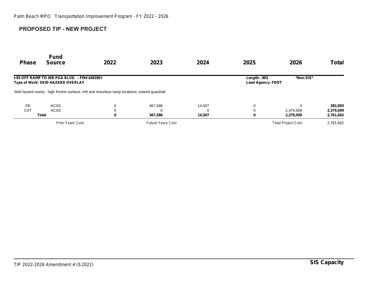## **PROPOSED TIP - NEW PROJECT**

| <b>Phase</b> | <b>Fund</b><br><b>Source</b>                                                                    | 2022 | 2023                     | 2024     | 2025                                     | 2026                      | <b>Total</b> |
|--------------|-------------------------------------------------------------------------------------------------|------|--------------------------|----------|------------------------------------------|---------------------------|--------------|
|              | <b>I-95 OFF RAMP TO WB PGA BLVD - FM# 4492801</b><br>Type of Work: SKID HAZARD OVERLAY          |      |                          |          | Length: .902<br><b>Lead Agency: FDOT</b> | *Non-SIS*                 |              |
|              | Skid hazard overly - high friction surface, mill and resurface ramp locations, extend quardrail |      |                          |          |                                          |                           |              |
| <b>PE</b>    | <b>ACSS</b>                                                                                     |      | 367,586                  | 14,507   | 0                                        | $\Omega$                  | 382,093      |
| <b>CST</b>   | <b>ACSS</b>                                                                                     |      |                          | $\Omega$ | 0                                        | 2,379,509                 | 2,379,509    |
|              | Total                                                                                           | 0    | 367,586                  | 14,507   | 0                                        | 2,379,509                 | 2,761,602    |
|              | <b>Prior Years Cost</b>                                                                         |      | <b>Future Years Cost</b> |          |                                          | <b>Total Project Cost</b> | 2,761,602    |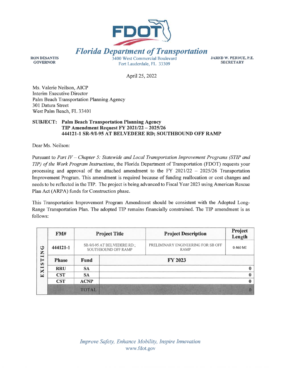

**RON DESANTIS GOVERNOR** 

3400 West Commercial Boulevard Fort Lauderdale, FL 33309

**JARED W. PERDUE, P.E. SECRETARY** 

April 25, 2022

Ms. Valerie Neilson, AICP Interim Executive Director Palm Beach Transportation Planning Agency 301 Datura Street West Palm Beach, FL 33401

### **SUBJECT: Palm Beach Transportation Planning Agency TIP Amendment Request FY 2021/22 - 2025/26** 444121-1 SR-9/I-95 AT BELVEDERE RD; SOUTHBOUND OFF RAMP

Dear Ms. Neilson:

Pursuant to Part IV - Chapter 5: Statewide and Local Transportation Improvement Programs (STIP and TIP) of the Work Program Instructions, the Florida Department of Transportation (FDOT) requests your processing and approval of the attached amendment to the FY 2021/22 - 2025/26 Transportation Improvement Program. This amendment is required because of funding reallocation or cost changes and needs to be reflected in the TIP. The project is being advanced to Fiscal Year 2023 using American Rescue Plan Act (ARPA) funds for Construction phase.

This Transportation Improvement Program Amendment should be consistent with the Adopted Long-Range Transportation Plan. The adopted TIP remains financially constrained. The TIP amendment is as follows:

| ڻ<br>Z<br>$\mapsto$<br>⊨<br>SO.<br>$\blacksquare$<br>X | FM#          |                                                    | <b>Project Title</b> | <b>Project Description</b>                 | Project<br>Length |
|--------------------------------------------------------|--------------|----------------------------------------------------|----------------------|--------------------------------------------|-------------------|
|                                                        | 444121-1     | SR-9/I-95 AT BELVEDERE RD.;<br>SOUTHBOUND OFF RAMP |                      | PRELIMINARY ENGINEERING FOR SB OFF<br>RAMP | $0.460$ MI        |
|                                                        | <b>Phase</b> | <b>Fund</b>                                        |                      | <b>FY 2023</b>                             |                   |
|                                                        | <b>RRU</b>   | <b>SA</b>                                          |                      |                                            |                   |
| 国                                                      | <b>CST</b>   | <b>SA</b>                                          |                      |                                            |                   |
|                                                        | <b>CST</b>   | <b>ACNP</b>                                        |                      |                                            |                   |
|                                                        |              | <b>TOTAL</b>                                       |                      |                                            |                   |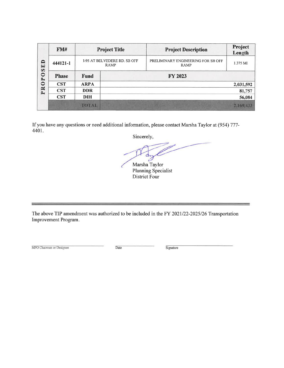| $\Rightarrow$<br>国<br><b>SO</b><br>$\bullet$<br>$\mathbf{r}$ | FMH          |                                             | <b>Project Title</b> | <b>Project Description</b>                 | Project<br>Length |
|--------------------------------------------------------------|--------------|---------------------------------------------|----------------------|--------------------------------------------|-------------------|
|                                                              | 444121-1     | 1-95 AT BELVEDERE RD. SB OFF<br><b>RAMP</b> |                      | PRELIMINARY ENGINEERING FOR SB OFF<br>RAMP | 1.375 MI          |
|                                                              | <b>Phase</b> | Fund                                        |                      |                                            |                   |
| $\ddot{\circ}$                                               | <b>CST</b>   | <b>ARPA</b>                                 |                      |                                            | 2,031,592         |
| PR                                                           | <b>CST</b>   | <b>DDR</b>                                  |                      |                                            | 81,757            |
|                                                              | <b>CST</b>   | <b>DIH</b>                                  |                      |                                            | 56,084            |
|                                                              |              | <b>TOTAL</b>                                |                      |                                            | 2,169,433         |

If you have any questions or need additional information, please contact Marsha Taylor at (954) 777-4401.

Sincerely,

Marsha Taylor Planning Specialist District Four

The above TIP amendment was authorized to be included in the FY 2021/22-2025/26 Transportation Improvement Program.

MPO Chairman or Designee

 $\overline{\text{Date}}$ 

 $Signature$ 

 $=$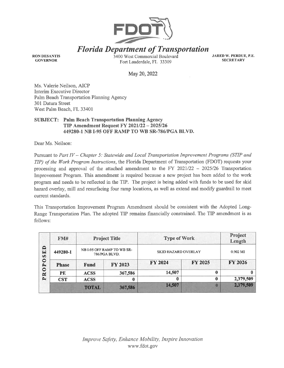

**Florida Department of Transportation** 

**RON DESANTIS GOVERNOR** 

3400 West Commercial Boulevard Fort Lauderdale, FL 33309

**JARED W. PERDUE, P.E. SECRETARY** 

May 20, 2022

Ms. Valerie Neilson, AICP Interim Executive Director Palm Beach Transportation Planning Agency 301 Datura Street West Palm Beach, FL 33401

#### **SUBJECT: Palm Beach Transportation Planning Agency TIP Amendment Request FY 2021/22 - 2025/26** 449280-1 NB I-95 OFF RAMP TO WB SR-786/PGA BLVD.

Dear Ms. Neilson:

Pursuant to Part IV - Chapter 5: Statewide and Local Transportation Improvement Programs (STIP and TIP) of the Work Program Instructions, the Florida Department of Transportation (FDOT) requests your processing and approval of the attached amendment to the FY  $2021/22 - 2025/26$  Transportation Improvement Program. This amendment is required because a new project has been added to the work program and needs to be reflected in the TIP. The project is being added with funds to be used for skid hazard overlay, mill and resurfacing four ramp locations, as well as extend and modify guardrail to meet current standards.

This Transportation Improvement Program Amendment should be consistent with the Adopted Long-Range Transportation Plan. The adopted TIP remains financially constrained. The TIP amendment is as follows:

| $\blacksquare$<br>$\blacksquare$<br>$\boldsymbol{\omega}$<br>$\bullet$<br>$\rightarrow$<br>$\circ$<br>$\tilde{\mathbf{z}}$<br>$\mathbf{r}$ | FM#          |                                             | <b>Project Title</b> | <b>Type of Work</b>        | Project<br>Length |                      |  |
|--------------------------------------------------------------------------------------------------------------------------------------------|--------------|---------------------------------------------|----------------------|----------------------------|-------------------|----------------------|--|
|                                                                                                                                            | 449280-1     | NB I-95 OFF RAMP TO WB SR-<br>786/PGA BLVD. |                      | <b>SKID HAZARD OVERLAY</b> |                   | $0.902 \, \text{MI}$ |  |
|                                                                                                                                            | <b>Phase</b> | <b>Fund</b>                                 | <b>FY 2023</b>       | FY 2024                    | <b>FY 2025</b>    | <b>FY 2026</b>       |  |
|                                                                                                                                            | <b>PE</b>    | <b>ACSS</b>                                 | 367,586              | 14,507                     | 0                 |                      |  |
|                                                                                                                                            | <b>CST</b>   | <b>ACSS</b>                                 | $\bf{0}$             | 0                          | 0                 | 2,379,509            |  |
|                                                                                                                                            |              | <b>TOTAL</b>                                | 367,586              | 14,507                     |                   | 2,379,509            |  |